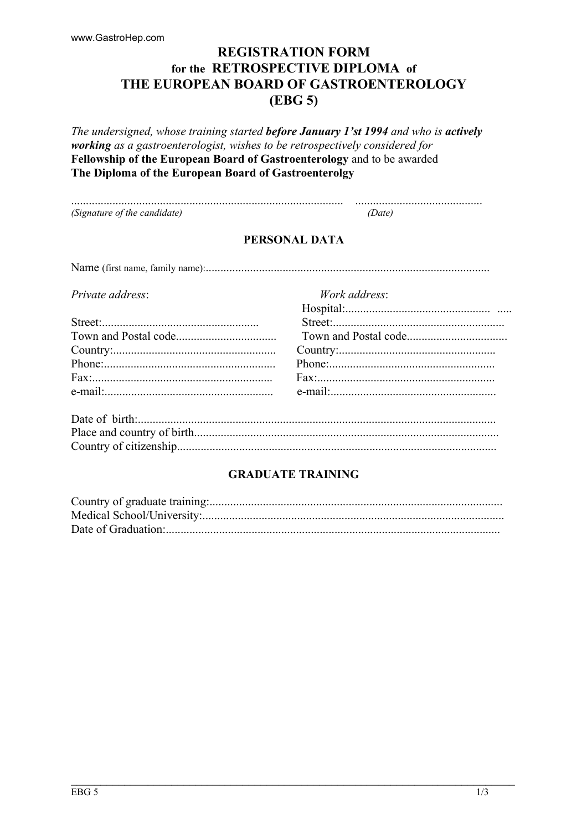# **REGISTRATION FORM** for the RETROSPECTIVE DIPLOMA of THE EUROPEAN BOARD OF GASTROENTEROLOGY  $(EBG<sub>5</sub>)$

The undersigned, whose training started before January 1'st 1994 and who is actively working as a gastroenterologist, wishes to be retrospectively considered for Fellowship of the European Board of Gastroenterology and to be awarded The Diploma of the European Board of Gastroenterolgy

 $\overline{\phantom{a}}$ 

(Date)

Work address:

#### PERSONAL DATA

 $\ddot{\phantom{a}}$ 

Private address:

(Signature of the candidate)

| $Fax:$ Fax: |  |
|-------------|--|
|             |  |
|             |  |
|             |  |
|             |  |

### **GRADUATE TRAINING**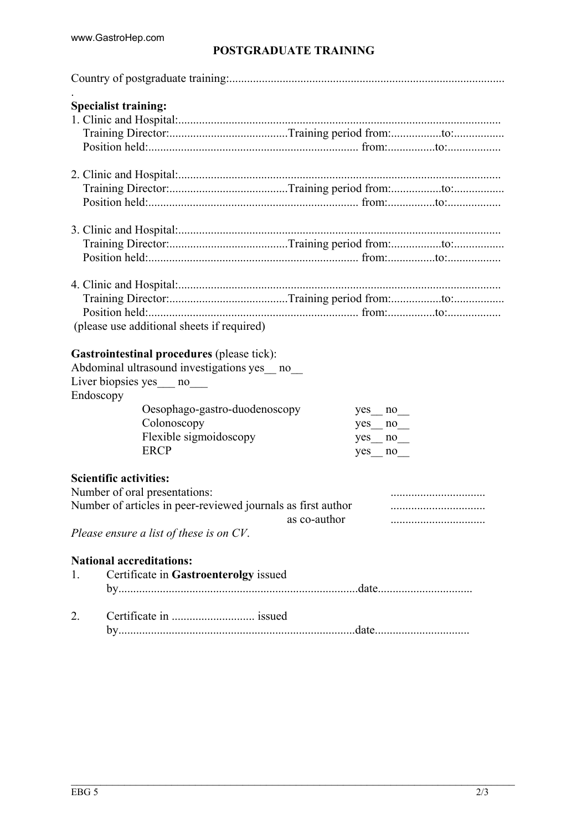## **POSTGRADUATE TRAINING**

|    | <b>Specialist training:</b>                                                                                                                                               |                 |
|----|---------------------------------------------------------------------------------------------------------------------------------------------------------------------------|-----------------|
|    |                                                                                                                                                                           |                 |
|    |                                                                                                                                                                           |                 |
|    |                                                                                                                                                                           |                 |
|    |                                                                                                                                                                           |                 |
|    |                                                                                                                                                                           |                 |
|    |                                                                                                                                                                           |                 |
|    |                                                                                                                                                                           |                 |
|    |                                                                                                                                                                           |                 |
|    |                                                                                                                                                                           |                 |
|    |                                                                                                                                                                           |                 |
|    |                                                                                                                                                                           |                 |
|    | (please use additional sheets if required)                                                                                                                                |                 |
|    | <b>Gastrointestinal procedures (please tick):</b><br>Abdominal ultrasound investigations yes_ no_<br>Liver biopsies yes_no_<br>Endoscopy<br>Oesophago-gastro-duodenoscopy | $yes$ no $\_\_$ |
|    | Colonoscopy                                                                                                                                                               | $yes$ no $\_\_$ |
|    | Flexible sigmoidoscopy                                                                                                                                                    | yes<br>no       |
|    | <b>ERCP</b>                                                                                                                                                               | yes no          |
|    | <b>Scientific activities:</b><br>Number of oral presentations:<br>Number of articles in peer-reviewed journals as first author<br>Please ensure a list of these is on CV. | as co-author    |
|    | <b>National accreditations:</b>                                                                                                                                           |                 |
| 1. | Certificate in Gastroenterolgy issued                                                                                                                                     |                 |
|    |                                                                                                                                                                           |                 |
| 2. |                                                                                                                                                                           |                 |
|    |                                                                                                                                                                           |                 |

 $\mathcal{L}_\mathcal{L} = \mathcal{L}_\mathcal{L} = \mathcal{L}_\mathcal{L} = \mathcal{L}_\mathcal{L} = \mathcal{L}_\mathcal{L} = \mathcal{L}_\mathcal{L} = \mathcal{L}_\mathcal{L} = \mathcal{L}_\mathcal{L} = \mathcal{L}_\mathcal{L} = \mathcal{L}_\mathcal{L} = \mathcal{L}_\mathcal{L} = \mathcal{L}_\mathcal{L} = \mathcal{L}_\mathcal{L} = \mathcal{L}_\mathcal{L} = \mathcal{L}_\mathcal{L} = \mathcal{L}_\mathcal{L} = \mathcal{L}_\mathcal{L}$